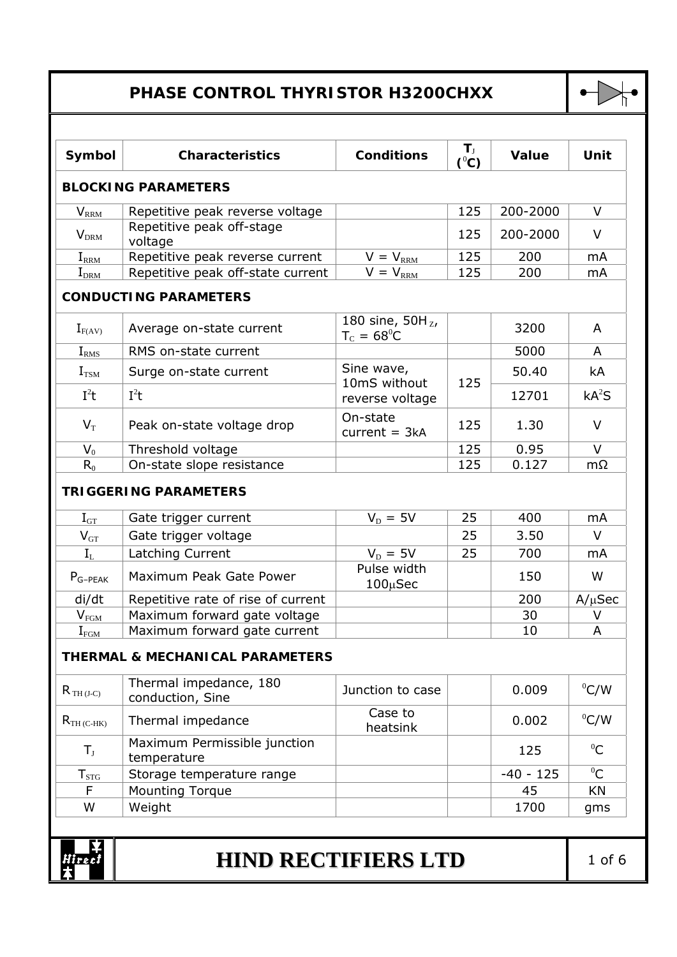## **PHASE CONTROL THYRISTOR H3200CHXX**



| Symbol                                       | <b>Characteristics</b>                               | <b>Conditions</b>                            | $T_{\rm J}$<br>$(^0C)$ | Value       | Unit              |
|----------------------------------------------|------------------------------------------------------|----------------------------------------------|------------------------|-------------|-------------------|
|                                              | <b>BLOCKING PARAMETERS</b>                           |                                              |                        |             |                   |
| $V_{R\underline{R}\underline{M}}$            | Repetitive peak reverse voltage                      |                                              | 125                    | 200-2000    | V                 |
| $V_{DRM}$                                    | Repetitive peak off-stage<br>voltage                 |                                              | 125                    | 200-2000    | V                 |
| $I_{\rm RRM}$                                | Repetitive peak reverse current                      | $V = V_{\text{RRM}}$                         | 125                    | 200         | mA                |
| $I_{DRM}$                                    | Repetitive peak off-state current                    | $V = V_{RRM}$                                | 125                    | 200         | mA                |
|                                              | <b>CONDUCTING PARAMETERS</b>                         |                                              |                        |             |                   |
| $I_{F(AV)}$                                  | Average on-state current                             | 180 sine, $50H_{Z}$ ,<br>$T_c = 68^{\circ}C$ |                        | 3200        | A                 |
| I <sub>RMS</sub>                             | RMS on-state current                                 |                                              |                        | 5000        | A                 |
| $I_{TSM}$                                    | Surge on-state current                               | Sine wave,<br>10mS without                   | 125                    | 50.40       | kA                |
| $I^2t$                                       | $I^2t$                                               | reverse voltage                              |                        | 12701       | kA <sup>2</sup> S |
| $V_T$                                        | Peak on-state voltage drop                           | On-state<br>$current = 3kA$                  | 125                    | 1.30        | $\vee$            |
| $V_0$                                        | Threshold voltage                                    |                                              | 125                    | 0.95        | $\vee$            |
| $R_0$                                        | On-state slope resistance                            |                                              | 125                    | 0.127       | $m\Omega$         |
| $I_{GT}$                                     | <b>TRIGGERING PARAMETERS</b><br>Gate trigger current | $V_D = 5V$                                   | 25                     | 400         | mA                |
| $V_{GT}$                                     | Gate trigger voltage                                 |                                              | 25                     | 3.50        | $\vee$            |
| $I_{L}$                                      | Latching Current                                     | $V_D = 5V$                                   | 25                     | 700         | mA                |
| $P_{G-PEAK}$                                 | Maximum Peak Gate Power                              | Pulse width<br>100µSec                       |                        | 150         | W                 |
| di/dt                                        | Repetitive rate of rise of current                   |                                              |                        | 200         | $A/\mu$ Sec       |
| $V_{FG\underline{M}}$                        | Maximum forward gate voltage                         |                                              |                        | 30          | V                 |
| $\mathbf{I}_{\text{F}\underline{\text{GM}}}$ | Maximum forward gate current                         |                                              |                        | 10          | A                 |
|                                              | <b>THERMAL &amp; MECHANICAL PARAMETERS</b>           |                                              |                        |             |                   |
| $R_{TH (J-C)}$                               | Thermal impedance, 180<br>conduction, Sine           | Junction to case                             |                        | 0.009       | $^0$ C/W          |
| $R_{TH(C-HK)}$                               | Thermal impedance                                    | Case to<br>heatsink                          |                        | 0.002       | $^0$ C/W          |
| $T_{\rm J}$                                  | Maximum Permissible junction<br>temperature          |                                              |                        | 125         | ${}^{0}C$         |
| $T_{STG}$                                    | Storage temperature range                            |                                              |                        | $-40 - 125$ | ${}^{0}C$         |
| F                                            | <b>Mounting Torque</b>                               |                                              |                        | 45          | KN                |
| W                                            | Weight                                               |                                              |                        | 1700        | gms               |
|                                              |                                                      |                                              |                        |             |                   |
|                                              | <b>HIND RECTIFIERS LTD</b>                           |                                              |                        |             | $1$ of $6$        |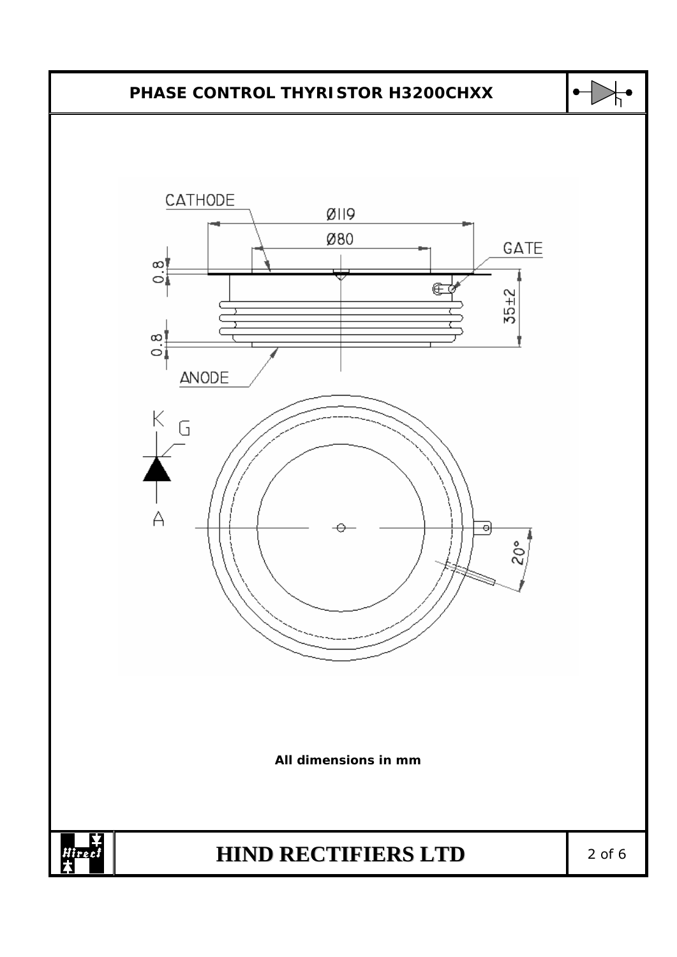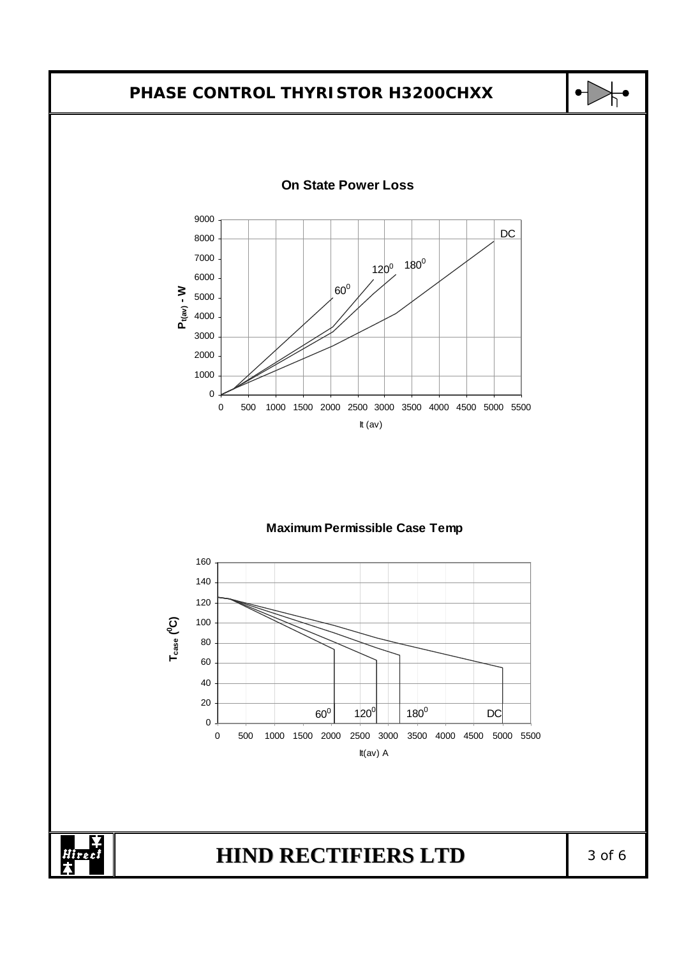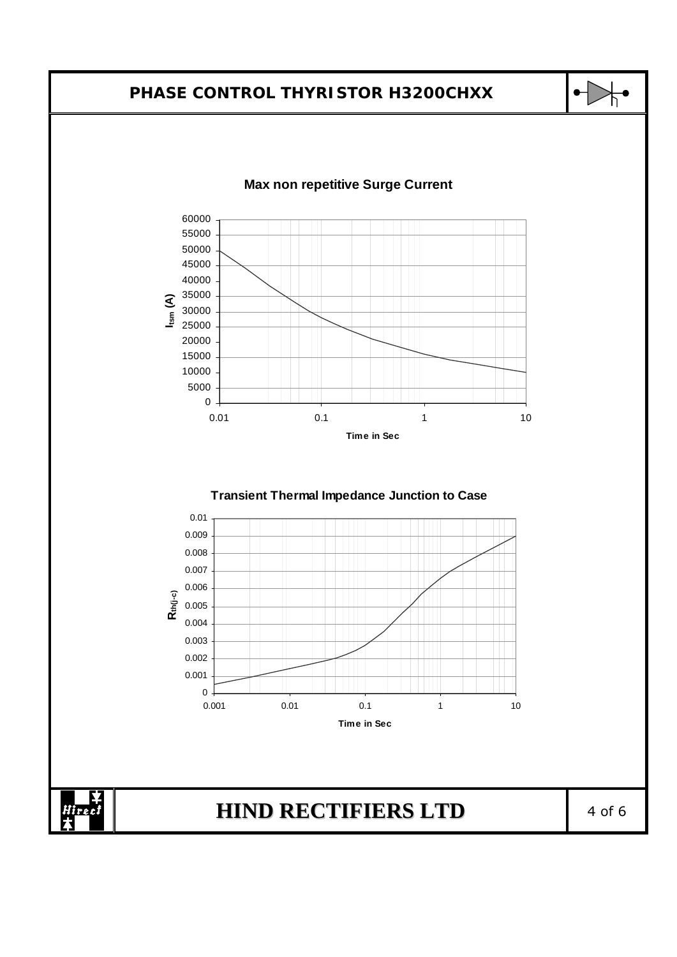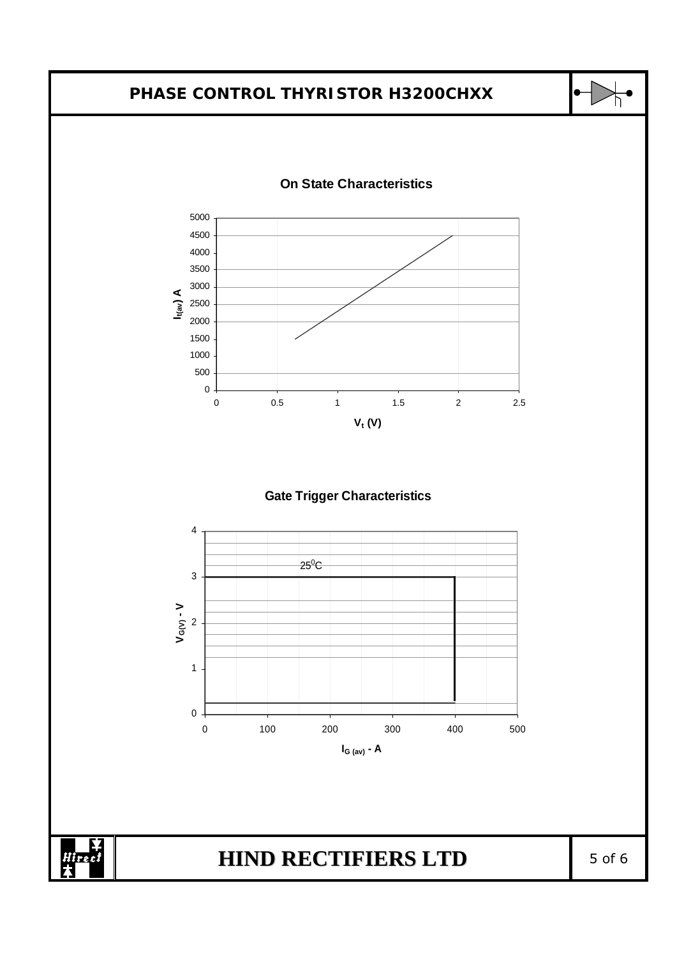